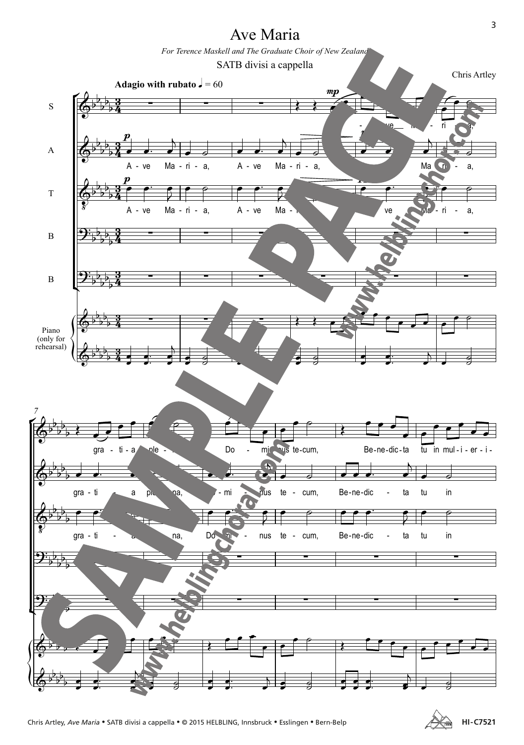

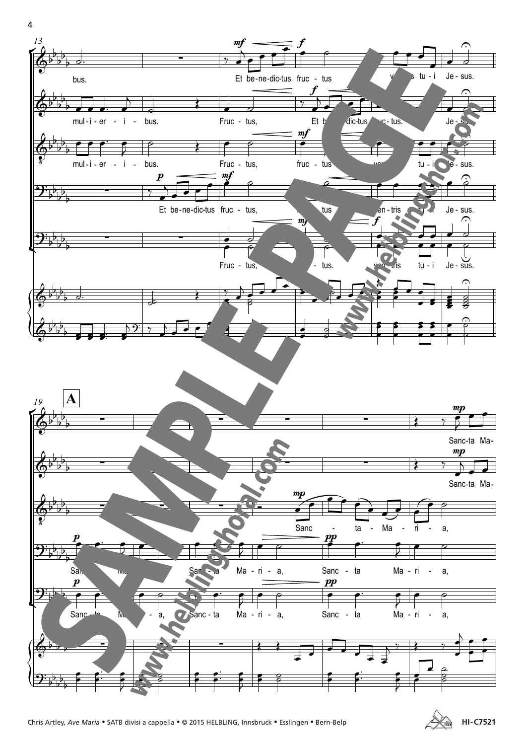

4

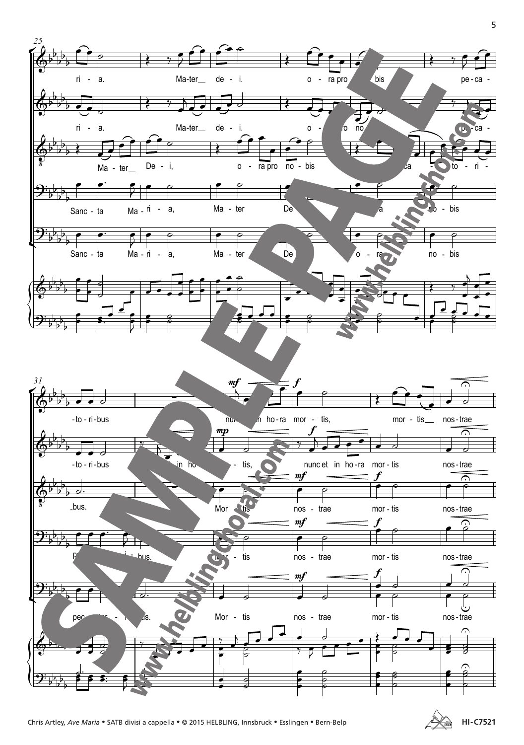

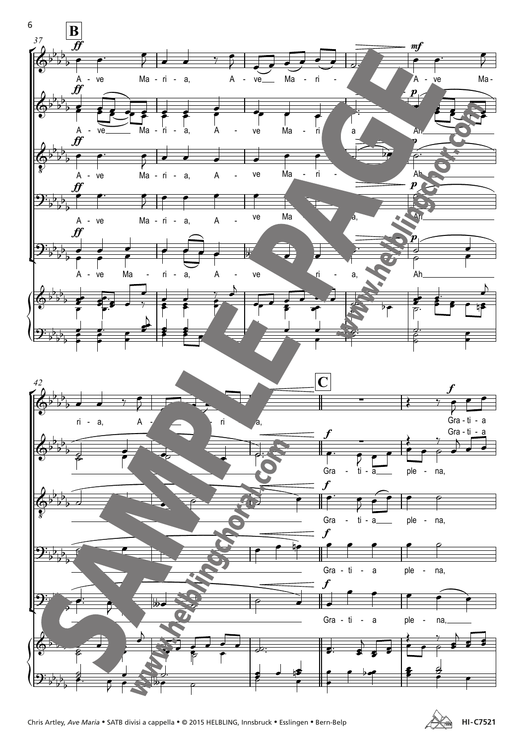

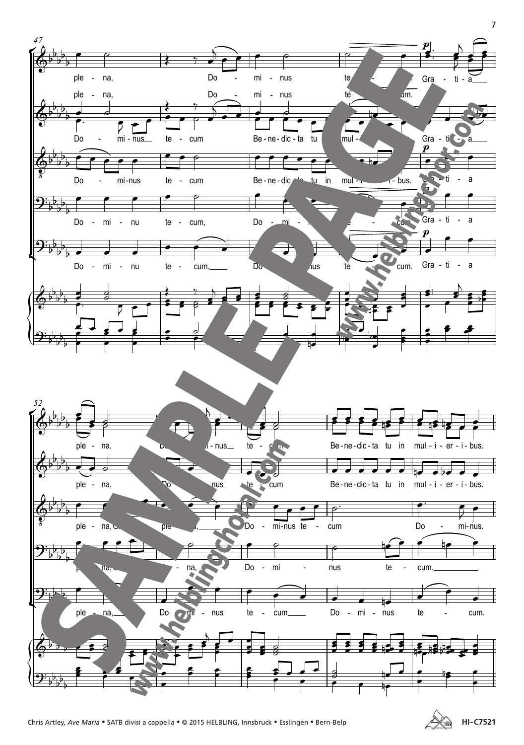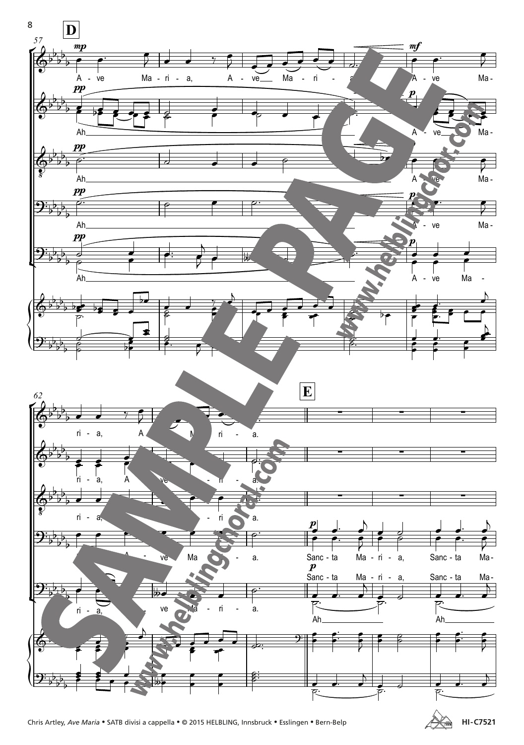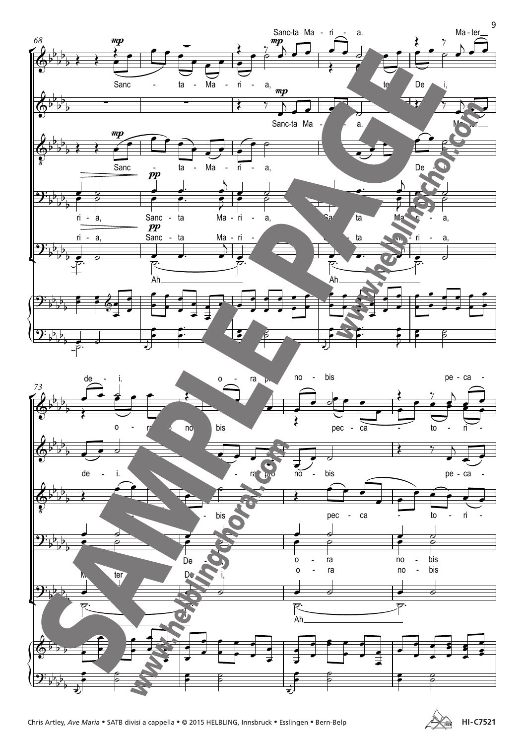